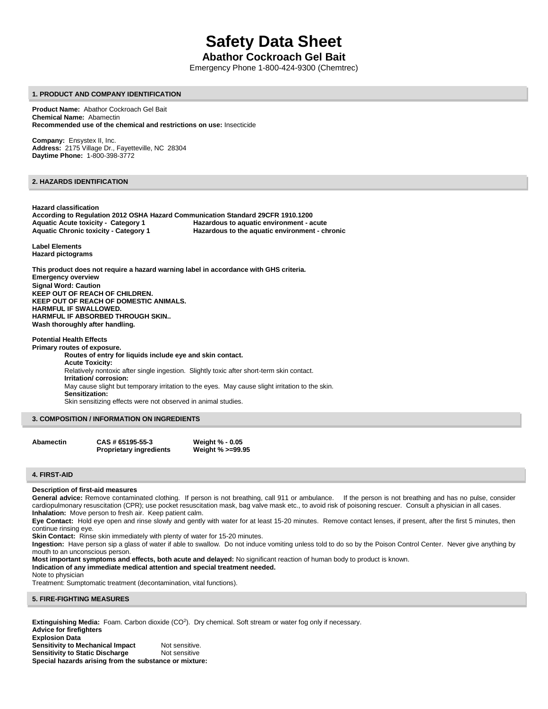# **Safety Data Sheet**

# **Abathor Cockroach Gel Bait**

Emergency Phone 1-800-424-9300 (Chemtrec)

#### **1. PRODUCT AND COMPANY IDENTIFICATION**

**Product Name:** Abathor Cockroach Gel Bait **Chemical Name:** Abamectin **Recommended use of the chemical and restrictions on use:** Insecticide

**Company:** Ensystex II, Inc. **Address:** 2175 Village Dr., Fayetteville, NC 28304 **Daytime Phone:** 1-800-398-3772

## **2. HAZARDS IDENTIFICATION**

**Hazard classification According to Regulation 2012 OSHA Hazard Communication Standard 29CFR 1910.1200 Aquatic Acute toxicity - Category 1 Hazardous to aquatic environment - acute Aquatic Chronic toxicity - Category 1 Hazardous to the aquatic environment - chronic**

**Label Elements Hazard pictograms**

**This product does not require a hazard warning label in accordance with GHS criteria. Emergency overview Signal Word: Caution KEEP OUT OF REACH OF CHILDREN. KEEP OUT OF REACH OF DOMESTIC ANIMALS. HARMFUL IF SWALLOWED. HARMFUL IF ABSORBED THROUGH SKIN.. Wash thoroughly after handling.**

## **Potential Health Effects**

**Primary routes of exposure. Routes of entry for liquids include eye and skin contact. Acute Toxicity:** Relatively nontoxic after single ingestion. Slightly toxic after short-term skin contact. **Irritation/ corrosion:** May cause slight but temporary irritation to the eyes. May cause slight irritation to the skin. **Sensitization:** Skin sensitizing effects were not observed in animal studies.

## **3. COMPOSITION / INFORMATION ON INGREDIENTS**

**Abamectin CAS # 65195-55-3 Weight % - 0.05**

**Proprietary ingredients Weight % >=99.95**

#### **4. FIRST-AID**

#### **Description of first-aid measures**

General advice: Remove contaminated clothing. If person is not breathing, call 911 or ambulance. If the person is not breathing and has no pulse, consider cardiopulmonary resuscitation (CPR); use pocket resuscitation mask, bag valve mask etc., to avoid risk of poisoning rescuer. Consult a physician in all cases. **Inhalation:** Move person to fresh air. Keep patient calm.

**Eye Contact:** Hold eye open and rinse slowly and gently with water for at least 15-20 minutes. Remove contact lenses, if present, after the first 5 minutes, then continue rinsing eye.

**Skin Contact:** Rinse skin immediately with plenty of water for 15-20 minutes.

**Ingestion:** Have person sip a glass of water if able to swallow. Do not induce vomiting unless told to do so by the Poison Control Center. Never give anything by mouth to an unconscious person.

**Most important symptoms and effects, both acute and delayed:** No significant reaction of human body to product is known.

## **Indication of any immediate medical attention and special treatment needed.**

#### Note to physician

Treatment: Sumptomatic treatment (decontamination, vital functions).

#### **5. FIRE-FIGHTING MEASURES**

Extinguishing Media: Foam. Carbon dioxide (CO<sup>2</sup>). Dry chemical. Soft stream or water fog only if necessary. **Advice for firefighters Explosion Data**

**Sensitivity to Mechanical Impact** Not sensitive. **Sensitivity to Static Discharge Mot sensitive Special hazards arising from the substance or mixture:**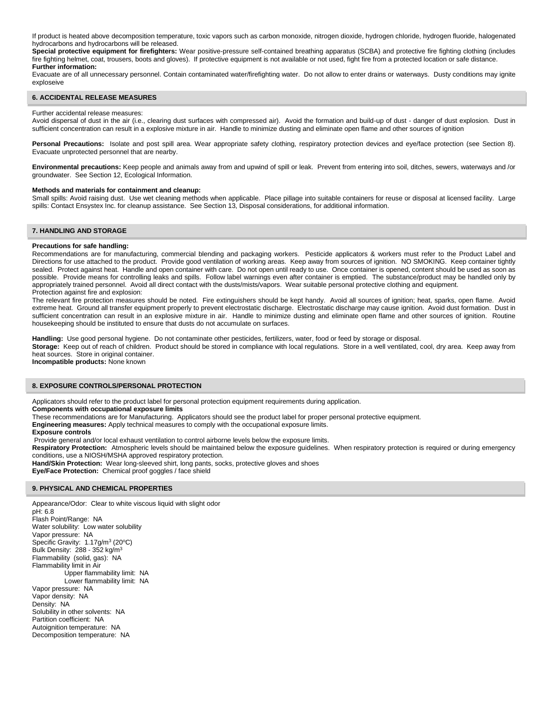If product is heated above decomposition temperature, toxic vapors such as carbon monoxide, nitrogen dioxide, hydrogen chloride, hydrogen fluoride, halogenated hydrocarbons and hydrocarbons will be released.

**Special protective equipment for firefighters:** Wear positive-pressure self-contained breathing apparatus (SCBA) and protective fire fighting clothing (includes fire fighting helmet, coat, trousers, boots and gloves). If protective equipment is not available or not used, fight fire from a protected location or safe distance. **Further information:**

Evacuate are of all unnecessary personnel. Contain contaminated water/firefighting water. Do not allow to enter drains or waterways. Dusty conditions may ignite exploseive

## **6. ACCIDENTAL RELEASE MEASURES**

#### Further accidental release measures:

Avoid dispersal of dust in the air (i.e., clearing dust surfaces with compressed air). Avoid the formation and build-up of dust - danger of dust explosion. Dust in sufficient concentration can result in a explosive mixture in air. Handle to minimize dusting and eliminate open flame and other sources of ignition

Personal Precautions: Isolate and post spill area. Wear appropriate safety clothing, respiratory protection devices and eye/face protection (see Section 8). Evacuate unprotected personnel that are nearby.

**Environmental precautions:** Keep people and animals away from and upwind of spill or leak. Prevent from entering into soil, ditches, sewers, waterways and /or groundwater. See Section 12, Ecological Information.

#### **Methods and materials for containment and cleanup:**

Small spills: Avoid raising dust. Use wet cleaning methods when applicable. Place pillage into suitable containers for reuse or disposal at licensed facility. Large spills: Contact Ensystex Inc. for cleanup assistance. See Section 13, Disposal considerations, for additional information.

## **7. HANDLING AND STORAGE**

## **Precautions for safe handling:**

Recommendations are for manufacturing, commercial blending and packaging workers. Pesticide applicators & workers must refer to the Product Label and Directions for use attached to the product. Provide good ventilation of working areas. Keep away from sources of ignition. NO SMOKING. Keep container tightly sealed. Protect against heat. Handle and open container with care. Do not open until ready to use. Once container is opened, content should be used as soon as possible. Provide means for controlling leaks and spills. Follow label warnings even after container is emptied. The substance/product may be handled only by appropriately trained personnel. Avoid all direct contact with the dusts/mists/vapors. Wear suitable personal protective clothing and equipment. Protection against fire and explosion:

The relevant fire protection measures should be noted. Fire extinguishers should be kept handy. Avoid all sources of ignition; heat, sparks, open flame. Avoid extreme heat. Ground all transfer equipment properly to prevent electrostatic discharge. Electrostatic discharge may cause ignition. Avoid dust formation. Dust in sufficient concentration can result in an explosive mixture in air. Handle to minimize dusting and eliminate open flame and other sources of ignition. Routine housekeeping should be instituted to ensure that dusts do not accumulate on surfaces.

**Handling:** Use good personal hygiene. Do not contaminate other pesticides, fertilizers, water, food or feed by storage or disposal.

**Storage:** Keep out of reach of children. Product should be stored in compliance with local regulations. Store in a well ventilated, cool, dry area. Keep away from heat sources. Store in original container.

**Incompatible products:** None known

## **8. EXPOSURE CONTROLS/PERSONAL PROTECTION**

Applicators should refer to the product label for personal protection equipment requirements during application.

**Components with occupational exposure limits**

These recommendations are for Manufacturing. Applicators should see the product label for proper personal protective equipment.

**Engineering measures:** Apply technical measures to comply with the occupational exposure limits. **Exposure controls**

Provide general and/or local exhaust ventilation to control airborne levels below the exposure limits.

**Respiratory Protection:** Atmospheric levels should be maintained below the exposure guidelines. When respiratory protection is required or during emergency conditions, use a NIOSH/MSHA approved respiratory protection.

**Hand/Skin Protection:** Wear long-sleeved shirt, long pants, socks, protective gloves and shoes **Eye/Face Protection:** Chemical proof goggles / face shield

#### **9. PHYSICAL AND CHEMICAL PROPERTIES**

Appearance/Odor: Clear to white viscous liquid with slight odor  $nH: 6.8$ Flash Point/Range: NA Water solubility: Low water solubility Vapor pressure: NA Specific Gravity: 1.17g/m<sup>3</sup> (20°C) Bulk Density: 288 - 352 kg/m<sup>3</sup> Flammability (solid, gas): NA Flammability limit in Air Upper flammability limit: NA Lower flammability limit: NA Vapor pressure: NA Vapor density: NA Density: NA Solubility in other solvents: NA Partition coefficient: NA Autoignition temperature: NA Decomposition temperature: NA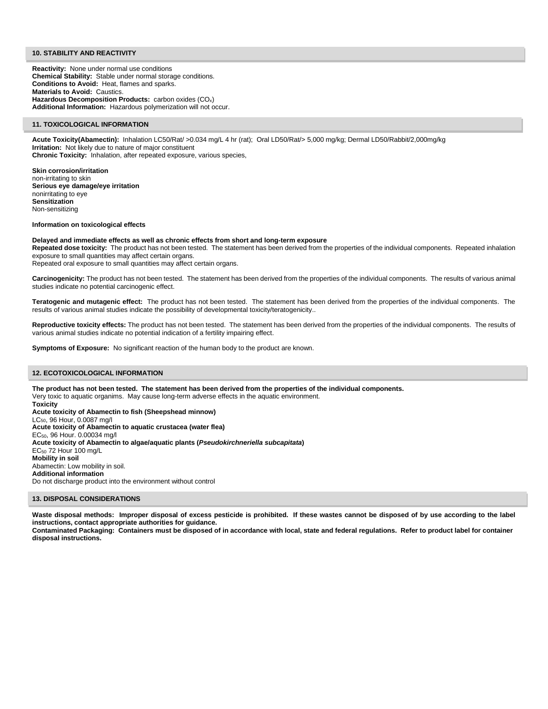## **10. STABILITY AND REACTIVITY**

**Reactivity:** None under normal use conditions **Chemical Stability:** Stable under normal storage conditions. **Conditions to Avoid:** Heat, flames and sparks. **Materials to Avoid:** Caustics. Hazardous Decomposition Products: carbon oxides (CO<sub>x</sub>) **Additional Information:** Hazardous polymerization will not occur.

#### **11. TOXICOLOGICAL INFORMATION**

**Acute Toxicity(Abamectin):** Inhalation LC50/Rat/ >0.034 mg/L 4 hr (rat); Oral LD50/Rat/> 5,000 mg/kg; Dermal LD50/Rabbit/2,000mg/kg **Irritation:** Not likely due to nature of major constituent **Chronic Toxicity:** Inhalation, after repeated exposure, various species,

**Skin corrosion/irritation** non-irritating to skin **Serious eye damage/eye irritation** nonirritating to eye **Sensitization** Non-sensitizing

## **Information on toxicological effects**

#### **Delayed and immediate effects as well as chronic effects from short and long-term exposure**

**Repeated dose toxicity:** The product has not been tested. The statement has been derived from the properties of the individual components. Repeated inhalation exposure to small quantities may affect certain organs.

Repeated oral exposure to small quantities may affect certain organs.

**Carcinogenicity:** The product has not been tested. The statement has been derived from the properties of the individual components. The results of various animal studies indicate no potential carcinogenic effect.

**Teratogenic and mutagenic effect:** The product has not been tested. The statement has been derived from the properties of the individual components. The results of various animal studies indicate the possibility of developmental toxicity/teratogenicity..

**Reproductive toxicity effects:** The product has not been tested. The statement has been derived from the properties of the individual components. The results of various animal studies indicate no potential indication of a fertility impairing effect.

**Symptoms of Exposure:** No significant reaction of the human body to the product are known.

## **12. ECOTOXICOLOGICAL INFORMATION**

**The product has not been tested. The statement has been derived from the properties of the individual components.**  Very toxic to aquatic organims. May cause long-term adverse effects in the aquatic environment. **Toxicity Acute toxicity of Abamectin to fish (Sheepshead minnow)** LC50, 96 Hour, 0.0087 mg/l **Acute toxicity of Abamectin to aquatic crustacea (water flea)** EC50, 96 Hour. 0.00034 mg/l **Acute toxicity of Abamectin to algae/aquatic plants (***Pseudokirchneriella subcapitata***)** EC<sup>50</sup> 72 Hour 100 mg/L **Mobility in soil** Abamectin: Low mobility in soil. **Additional information** Do not discharge product into the environment without control

## **13. DISPOSAL CONSIDERATIONS**

**Waste disposal methods: Improper disposal of excess pesticide is prohibited. If these wastes cannot be disposed of by use according to the label instructions, contact appropriate authorities for guidance.**

**Contaminated Packaging: Containers must be disposed of in accordance with local, state and federal regulations. Refer to product label for container disposal instructions.**